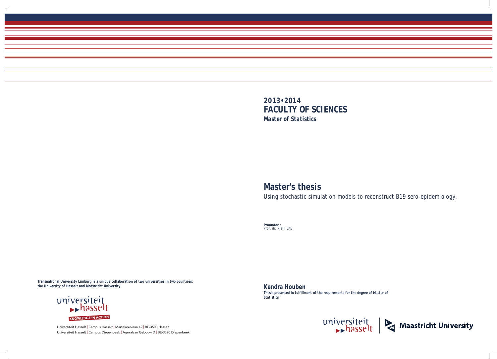Universiteit Hasselt | Campus Hasselt | Martelarenlaan 42 | BE-3500 Hasselt Universiteit Hasselt | Campus Diepenbeek | Agoralaan Gebouw D | BE-3590 Diepenbeek



# **Master's thesis**

Using stochastic simulation models to reconstruct B19 sero-epidemiology.

**Promotor :** Prof. dr. Niel HENS

**Kendra Houben**  *Thesis presented in fulfillment of the requirements for the degree of Master of Statistics*





**Transnational University Limburg is a unique collaboration of two universities in two countries: the University of Hasselt and Maastricht University.**

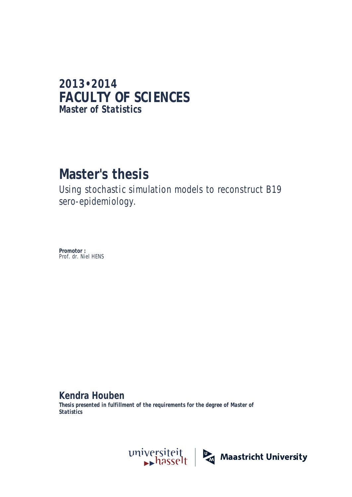## **2013•2014 FACULTY OF SCIENCES** *Master of Statistics*

## **Master's thesis**

Using stochastic simulation models to reconstruct B19 sero-epidemiology.

**Promotor :** Prof. dr. Niel HENS

**Kendra Houben** 

*Thesis presented in fulfillment of the requirements for the degree of Master of Statistics*

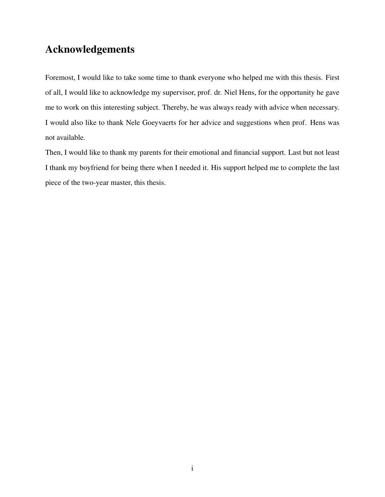## Acknowledgements

Foremost, I would like to take some time to thank everyone who helped me with this thesis. First of all, I would like to acknowledge my supervisor, prof. dr. Niel Hens, for the opportunity he gave me to work on this interesting subject. Thereby, he was always ready with advice when necessary. I would also like to thank Nele Goeyvaerts for her advice and suggestions when prof. Hens was not available.

Then, I would like to thank my parents for their emotional and financial support. Last but not least I thank my boyfriend for being there when I needed it. His support helped me to complete the last piece of the two-year master, this thesis.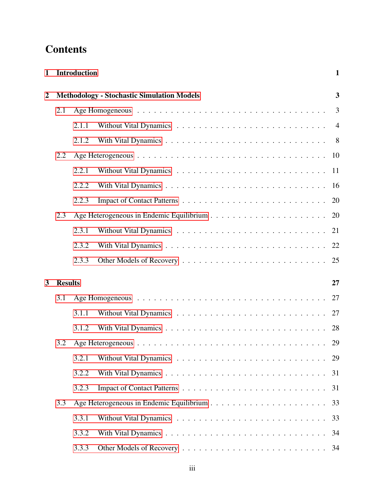## **Contents**

|     |       |                | $\mathbf{1}$                                                             |  |
|-----|-------|----------------|--------------------------------------------------------------------------|--|
|     |       |                |                                                                          |  |
| 2.1 |       |                | 3                                                                        |  |
|     | 2.1.1 |                | $\overline{4}$                                                           |  |
|     | 2.1.2 |                | 8 <sup>8</sup>                                                           |  |
| 2.2 |       |                | 10                                                                       |  |
|     | 2.2.1 |                | 11                                                                       |  |
|     | 2.2.2 |                | 16                                                                       |  |
|     | 2.2.3 |                | 20                                                                       |  |
| 2.3 |       |                | 20                                                                       |  |
|     | 2.3.1 |                | 21                                                                       |  |
|     | 2.3.2 |                | 22                                                                       |  |
|     | 2.3.3 |                | 25                                                                       |  |
|     |       |                | 27                                                                       |  |
| 3.1 |       |                | 27                                                                       |  |
|     | 3.1.1 |                | 27                                                                       |  |
|     | 3.1.2 |                | 28                                                                       |  |
| 3.2 |       |                | 29                                                                       |  |
|     | 3.2.1 |                | 29                                                                       |  |
|     | 3.2.2 |                | 31                                                                       |  |
|     | 3.2.3 |                | 31                                                                       |  |
| 3.3 |       |                | 33                                                                       |  |
|     | 3.3.1 |                | 33                                                                       |  |
|     | 3.3.2 |                | 34                                                                       |  |
|     | 3.3.3 |                | 34                                                                       |  |
|     |       | <b>Results</b> | <b>Introduction</b><br><b>Methodology - Stochastic Simulation Models</b> |  |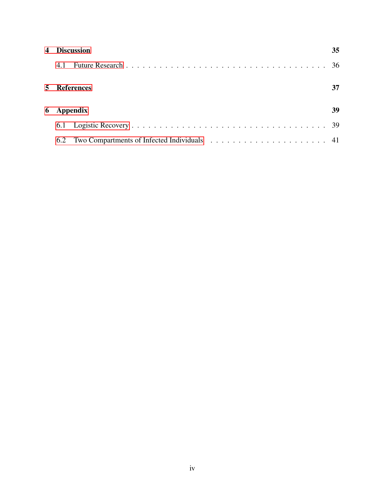| $\overline{4}$ | <b>Discussion</b> |  |  |  |
|----------------|-------------------|--|--|--|
|                | 4.1               |  |  |  |
|                | 5 References      |  |  |  |
|                | 6 Appendix        |  |  |  |
|                |                   |  |  |  |
|                | 6.2               |  |  |  |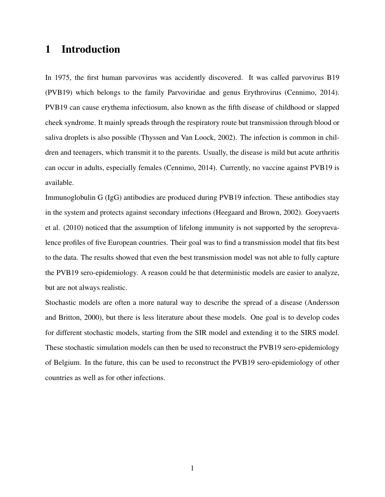## 1 Introduction

In 1975, the first human parvovirus was accidently discovered. It was called parvovirus B19 (PVB19) which belongs to the family Parvoviridae and genus Erythrovirus (Cennimo, 2014). PVB19 can cause erythema infectiosum, also known as the fifth disease of childhood or slapped cheek syndrome. It mainly spreads through the respiratory route but transmission through blood or saliva droplets is also possible (Thyssen and Van Loock, 2002). The infection is common in children and teenagers, which transmit it to the parents. Usually, the disease is mild but acute arthritis can occur in adults, especially females (Cennimo, 2014). Currently, no vaccine against PVB19 is available.

Immunoglobulin G (IgG) antibodies are produced during PVB19 infection. These antibodies stay in the system and protects against secondary infections (Heegaard and Brown, 2002). Goeyvaerts et al. (2010) noticed that the assumption of lifelong immunity is not supported by the seroprevalence profiles of five European countries. Their goal was to find a transmission model that fits best to the data. The results showed that even the best transmission model was not able to fully capture the PVB19 sero-epidemiology. A reason could be that deterministic models are easier to analyze, but are not always realistic.

Stochastic models are often a more natural way to describe the spread of a disease (Andersson and Britton, 2000), but there is less literature about these models. One goal is to develop codes for different stochastic models, starting from the SIR model and extending it to the SIRS model. These stochastic simulation models can then be used to reconstruct the PVB19 sero-epidemiology of Belgium. In the future, this can be used to reconstruct the PVB19 sero-epidemiology of other countries as well as for other infections.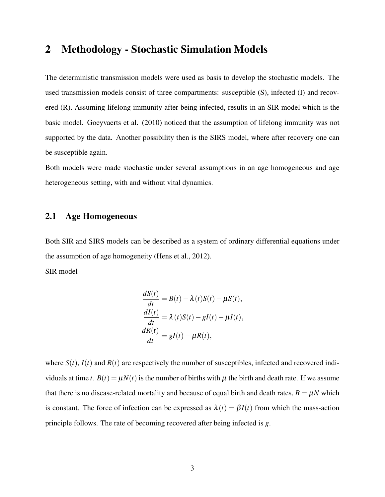## 2 Methodology - Stochastic Simulation Models

The deterministic transmission models were used as basis to develop the stochastic models. The used transmission models consist of three compartments: susceptible (S), infected (I) and recovered (R). Assuming lifelong immunity after being infected, results in an SIR model which is the basic model. Goeyvaerts et al. (2010) noticed that the assumption of lifelong immunity was not supported by the data. Another possibility then is the SIRS model, where after recovery one can be susceptible again.

Both models were made stochastic under several assumptions in an age homogeneous and age heterogeneous setting, with and without vital dynamics.

#### 2.1 Age Homogeneous

Both SIR and SIRS models can be described as a system of ordinary differential equations under the assumption of age homogeneity (Hens et al., 2012).

SIR model

$$
\frac{dS(t)}{dt} = B(t) - \lambda(t)S(t) - \mu S(t),
$$
  
\n
$$
\frac{dI(t)}{dt} = \lambda(t)S(t) - gI(t) - \mu I(t),
$$
  
\n
$$
\frac{dR(t)}{dt} = gI(t) - \mu R(t),
$$

where  $S(t)$ ,  $I(t)$  and  $R(t)$  are respectively the number of susceptibles, infected and recovered individuals at time *t*.  $B(t) = \mu N(t)$  is the number of births with  $\mu$  the birth and death rate. If we assume that there is no disease-related mortality and because of equal birth and death rates,  $B = \mu N$  which is constant. The force of infection can be expressed as  $\lambda(t) = \beta I(t)$  from which the mass-action principle follows. The rate of becoming recovered after being infected is *g*.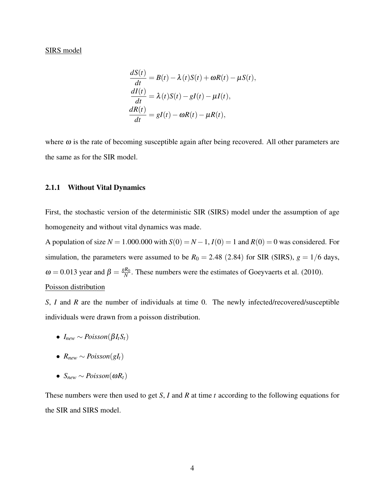#### SIRS model

$$
\frac{dS(t)}{dt} = B(t) - \lambda(t)S(t) + \omega R(t) - \mu S(t),
$$
  
\n
$$
\frac{dI(t)}{dt} = \lambda(t)S(t) - gI(t) - \mu I(t),
$$
  
\n
$$
\frac{dR(t)}{dt} = gI(t) - \omega R(t) - \mu R(t),
$$

where  $\omega$  is the rate of becoming susceptible again after being recovered. All other parameters are the same as for the SIR model.

#### 2.1.1 Without Vital Dynamics

First, the stochastic version of the deterministic SIR (SIRS) model under the assumption of age homogeneity and without vital dynamics was made.

A population of size  $N = 1.000.000$  with  $S(0) = N - 1$ ,  $I(0) = 1$  and  $R(0) = 0$  was considered. For simulation, the parameters were assumed to be  $R_0 = 2.48$  (2.84) for SIR (SIRS),  $g = 1/6$  days,  $ω = 0.013$  year and  $β = \frac{gR_0}{N}$  $\frac{R_0}{N}$ . These numbers were the estimates of Goeyvaerts et al. (2010). Poisson distribution

*S*, *I* and *R* are the number of individuals at time 0. The newly infected/recovered/susceptible individuals were drawn from a poisson distribution.

- $\bullet$  *I*<sub>new</sub> ∼ *Poisson*( $\beta I_t S_t$ )
- $R_{new} \sim Poisson(gl_t)$
- $\bullet$  *S*<sub>*new*</sub> ∼ *Poisson*(ω*R*<sub>*t*</sub>)</sub>

These numbers were then used to get *S*, *I* and *R* at time *t* according to the following equations for the SIR and SIRS model.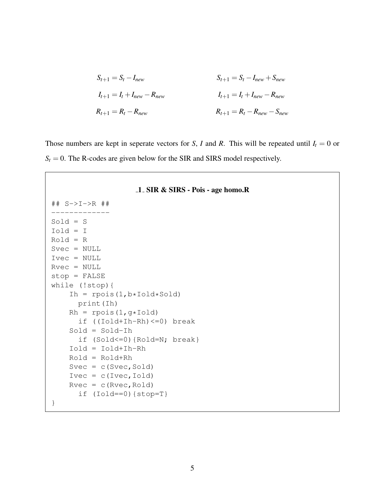$$
S_{t+1} = S_t - I_{new}
$$
  
\n
$$
I_{t+1} = I_t + I_{new} - R_{new}
$$
  
\n
$$
S_{t+1} = S_t - I_{new} + S_{new}
$$
  
\n
$$
I_{t+1} = I_t + I_{new} - R_{new}
$$
  
\n
$$
R_{t+1} = R_t - R_{new} - S_{new}
$$

Those numbers are kept in seperate vectors for *S*, *I* and *R*. This will be repeated until  $I_t = 0$  or  $S_t = 0$ . The R-codes are given below for the SIR and SIRS model respectively.

```
1 SIR & SIRS - Pois - age homo.R
## S->I->R ##
-------------
Sold = S
Iold = I
Rold = R
Svec = NULL
Ivec = NULL
Rvec = NULL
stop = FALSE
while (!stop){
    Ih = rpois(1,b*Iold*Sold)print(Ih)
    Rh = \text{rpois}(1, g * \text{Iold})if ((Iold+Ih-Rh)<=0) break
    Sold = Sold-Ih
      if (Sold<=0){Rold=N; break}
    Iold = Iold+Ih-Rh
    Rold = Rold+Rh
    Svec = c(Svec, Sold)Ivec = c(Ivec,Iold)Rvec = c(Rvec, Roll)if (Iold==0){stop=T}
}
```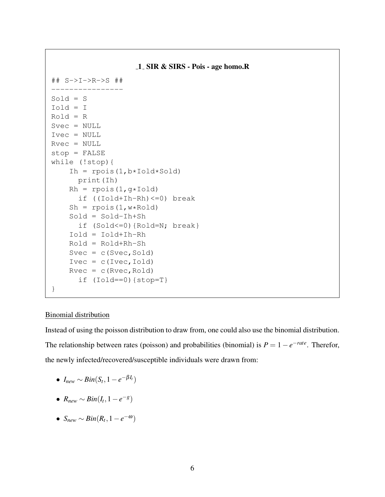```
1 SIR & SIRS - Pois - age homo.R
## S->I->R->S ##
Sold = S
Iold = I
Rold = R
Svec = NULL
Ivec = NULL
Rvec = NULL
stop = FALSE
while (!stop){
    Ih = rpois(1,b*Iold*Sold)print(Ih)
    Rh = rpois(1, g*Iold)if ((Iold+Ih-Rh)<=0) break
    Sh = \text{rpois}(1, \text{w*Roll})Sold = Sold-Ih+Sh
      if (Sold<=0){Rold=N; break}
    Iold = Iold+Ih-Rh
    Rold = Rold+Rh-Sh
    Svec = c(Svec, Sold)Ivec = c(Ivec,Iold)
    Rvec = c(Rvec, Roll)if (Iold==0){stop=T}
}
```
#### Binomial distribution

Instead of using the poisson distribution to draw from, one could also use the binomial distribution. The relationship between rates (poisson) and probabilities (binomial) is  $P = 1 - e^{-\text{rate}}$ . Therefor, the newly infected/recovered/susceptible individuals were drawn from:

- $I_{new} \sim Bin(S_t, 1-e^{-\beta I_t})$
- $\bullet$  *R*<sub>new</sub> ∼ *Bin*(*I*<sub>t</sub>, 1 − *e*<sup>-*g*</sup>)
- *Snew* ∼ *Bin*(*R<sup>t</sup>* ,1−*e* <sup>−</sup>ω)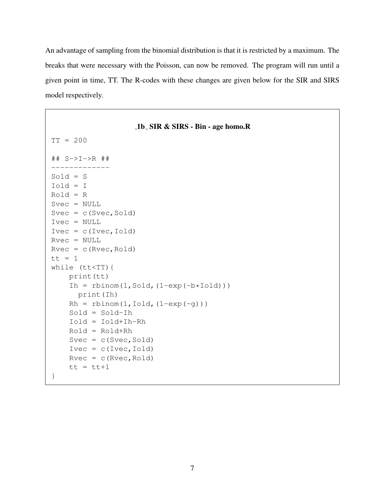An advantage of sampling from the binomial distribution is that it is restricted by a maximum. The breaks that were necessary with the Poisson, can now be removed. The program will run until a given point in time, TT. The R-codes with these changes are given below for the SIR and SIRS model respectively.

```
1b SIR & SIRS - Bin - age homo.R
TT = 200
## S->I->R ##
-------------
Sold = SIold = I
Rold = R
Svec = NULL
Svec = c(Svec, Sold)Ivec = NULL
Ivec = c(Ivec,Iold)Rvec = NULL
Rvec = c(Rvec, Roll)tt = 1while (tt<TT){
    print(tt)
    Ih = rbinom(1, Sold, (1-exp(-b*Iold)))print(Ih)
    Rh = rbinom(1, Iold, (1-exp(-q)))Sold = Sold-Ih
    Iold = Iold+Ih-Rh
    Rold = Rold+Rh
    Svec = c(Svec, Sold)Ivec = c(Ivec,Iold)
    Rvec = c(Rvec, Roll)tt = tt+1}
```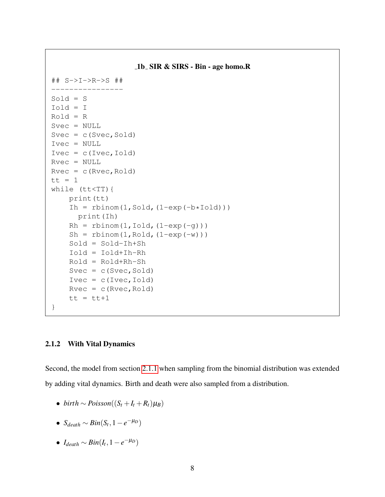```
1b SIR & SIRS - Bin - age homo.R
## S->I->R->S ##
Sold = SIold = I
Rold = R
Svec = NULL
Svec = c(Svec, Sold)Ivec = NULL
Ivec = c(Ivec,Iold)Rvec = NULL
Rvec = c(Rvec, Roll)tt = 1while (tt<TT){
    print(tt)
    Ih = rbinom(1, Sold, (1-exp(-b*Iold)))print(Ih)
    Rh = rbinom(1, Iold, (1-exp(-q)))Sh = rbinom(1, Rold, (1-exp(-w)))
    Sold = Sold-Ih+Sh
    Iold = Iold+Ih-Rh
    Rold = Rold+Rh-Sh
    Svec = c(Svec, Sold)Ivec = c(Ivec,Iold)Rvec = c(Rvec, Roll)tt = tt+1}
```
#### 2.1.2 With Vital Dynamics

Second, the model from section 2.1.1 when sampling from the binomial distribution was extended by adding vital dynamics. Birth and death were also sampled from a distribution.

- $\bullet$  *birth* ∼ *Poisson*( $(S_t + I_t + R_t) \mu_B$ )
- $S_{death} \sim Bin(S_t, 1-e^{-\mu_D})$
- $\bullet$  *I*<sub>death</sub>  $\sim Bin(I_t, 1-e^{-\mu_D})$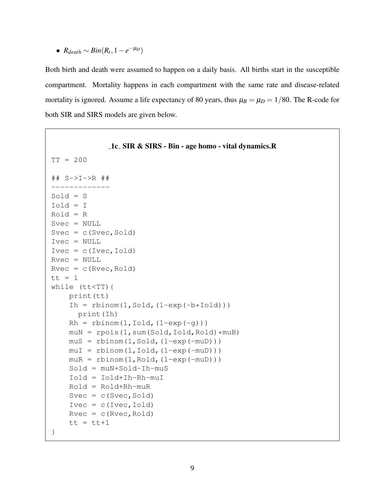•  $R_{death} \sim Bin(R_t, 1-e^{-\mu_D})$ 

Both birth and death were assumed to happen on a daily basis. All births start in the susceptible compartment. Mortality happens in each compartment with the same rate and disease-related mortality is ignored. Assume a life expectancy of 80 years, thus  $\mu_B = \mu_D = 1/80$ . The R-code for both SIR and SIRS models are given below.

```
1c SIR & SIRS - Bin - age homo - vital dynamics.R
TT = 200## S->I->R ##
-------------
Sold = S
Iold = I
Rold = R
Svec = NULL
Svec = c(Svec, Sold)Ivec = NULL
Ivec = c(Ivec,Iold)Rvec = NULL
Rvec = c(Rvec, Rold)tt = 1while (tt<TT){
    print(tt)
    Ih = rbinom(1, Sold, (1-exp(-b*Iold)))print(Ih)
    Rh = rbinom(1, Iold, (1-exp(-q)))m \text{u} = \text{rpois}(1, \text{sum(Sold, Iold, Rold)} * \text{muB})mus = rbinom(1, Sold, (1-exp(-muD)))muI = rbinom(1, Iold, (1-exp(-muD)))m uR = rbinom(1, Rold, (1-exp(-m u))))Sold = muN+Sold-Ih-muS
    Iold = Iold+Ih-Rh-muI
    Rold = Rold+Rh-muR
    Svec = c(Svec, Sold)Ivec = c(Ivec,Iold)Rvec = c(Rvec, Rold)tt = tt+1}
```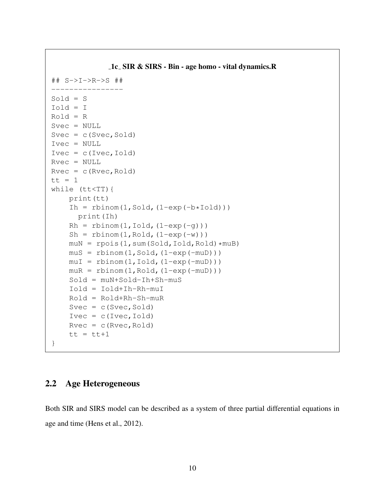```
1c SIR & SIRS - Bin - age homo - vital dynamics.R
## S->I->R->S ##
Sold = SIold = I
Rold = R
Svec = NULL
Svec = c(Svec, Sold)Ivec = NULL
Ivec = c(Ivec,Iold)Rvec = NULL
Rvec = c(Rvec, Roll)tt = 1while (tt<TT){
    print(tt)
    Ih = rbinom(1, Sold, (1-exp(-b*Iold)))print(Ih)
    Rh = rbinom(1, Iold, (1-exp(-q)))Sh = rbinom(1, Rold, (1-exp(-w)))
    muN = rpois(1, sum(Sold, Iold, Roll)xmuB)mus = rbinom(1, Sold, (1-exp(-muD)))muI = rbinom(1,Iold,(1-exp(-muD)))m uR = rbinom(1, Rold, (1-exp(-m u))))Sold = muN+Sold-Ih+Sh-muS
    Iold = Iold+Ih-Rh-muI
    Rold = Rold+Rh-Sh-muR
    Svec = c(Svec, Sold)Ivec = c(Ivec,Iold)Rvec = c(Rvec, Rold)tt = tt+1}
```
#### 2.2 Age Heterogeneous

Both SIR and SIRS model can be described as a system of three partial differential equations in age and time (Hens et al., 2012).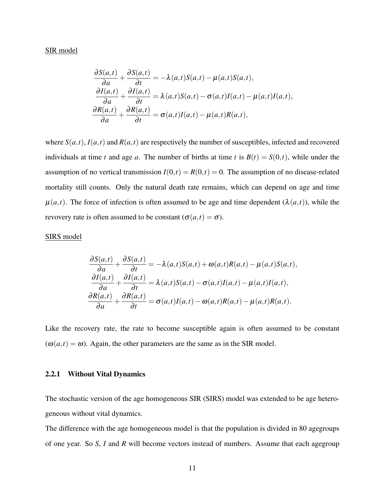#### SIR model

$$
\frac{\partial S(a,t)}{\partial a} + \frac{\partial S(a,t)}{\partial t} = -\lambda(a,t)S(a,t) - \mu(a,t)S(a,t),
$$
  

$$
\frac{\partial I(a,t)}{\partial a} + \frac{\partial I(a,t)}{\partial t} = \lambda(a,t)S(a,t) - \sigma(a,t)I(a,t) - \mu(a,t)I(a,t),
$$
  

$$
\frac{\partial R(a,t)}{\partial a} + \frac{\partial R(a,t)}{\partial t} = \sigma(a,t)I(a,t) - \mu(a,t)R(a,t),
$$

where  $S(a,t)$ ,  $I(a,t)$  and  $R(a,t)$  are respectively the number of susceptibles, infected and recovered individuals at time *t* and age *a*. The number of births at time *t* is  $B(t) = S(0,t)$ , while under the assumption of no vertical transmission  $I(0,t) = R(0,t) = 0$ . The assumption of no disease-related mortality still counts. Only the natural death rate remains, which can depend on age and time  $\mu(a,t)$ . The force of infection is often assumed to be age and time dependent ( $\lambda(a,t)$ ), while the revovery rate is often assumed to be constant ( $\sigma$ ( $a$ , $t$ ) =  $\sigma$ ).

#### SIRS model

$$
\frac{\partial S(a,t)}{\partial a} + \frac{\partial S(a,t)}{\partial t} = -\lambda(a,t)S(a,t) + \omega(a,t)R(a,t) - \mu(a,t)S(a,t),
$$
  

$$
\frac{\partial I(a,t)}{\partial a} + \frac{\partial I(a,t)}{\partial t} = \lambda(a,t)S(a,t) - \sigma(a,t)I(a,t) - \mu(a,t)I(a,t),
$$
  

$$
\frac{\partial R(a,t)}{\partial a} + \frac{\partial R(a,t)}{\partial t} = \sigma(a,t)I(a,t) - \omega(a,t)R(a,t) - \mu(a,t)R(a,t).
$$

Like the recovery rate, the rate to become susceptible again is often assumed to be constant  $(\omega(a,t) = \omega)$ . Again, the other parameters are the same as in the SIR model.

#### 2.2.1 Without Vital Dynamics

The stochastic version of the age homogeneous SIR (SIRS) model was extended to be age heterogeneous without vital dynamics.

The difference with the age homogeneous model is that the population is divided in 80 agegroups of one year. So *S*, *I* and *R* will become vectors instead of numbers. Assume that each agegroup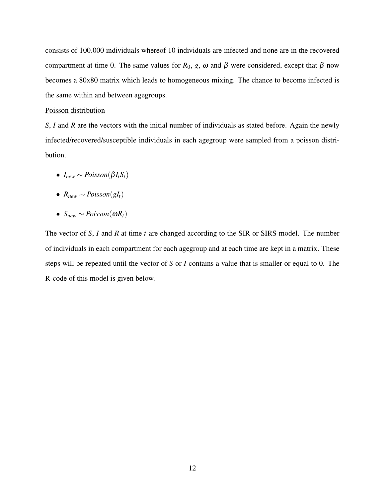consists of 100.000 individuals whereof 10 individuals are infected and none are in the recovered compartment at time 0. The same values for  $R_0$ , *g*,  $\omega$  and  $\beta$  were considered, except that  $\beta$  now becomes a 80x80 matrix which leads to homogeneous mixing. The chance to become infected is the same within and between agegroups.

#### Poisson distribution

*S*, *I* and *R* are the vectors with the initial number of individuals as stated before. Again the newly infected/recovered/susceptible individuals in each agegroup were sampled from a poisson distribution.

- $\bullet$  *I*<sub>new</sub> ∼ *Poisson*( $\beta I_t S_t$ )
- $R_{new} \sim Poisson(gl_t)$
- $\bullet$  *S*<sub>new</sub> ∼ *Poisson*(ω*R*<sub>t</sub>)

The vector of *S*, *I* and *R* at time *t* are changed according to the SIR or SIRS model. The number of individuals in each compartment for each agegroup and at each time are kept in a matrix. These steps will be repeated until the vector of *S* or *I* contains a value that is smaller or equal to 0. The R-code of this model is given below.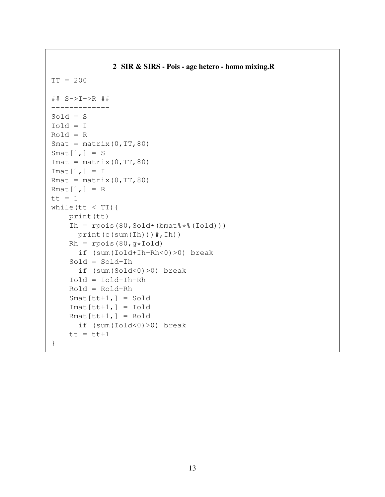```
2 SIR & SIRS - Pois - age hetero - homo mixing.R
TT = 200
## S->I->R ##
-------------
Sold = SIold = I
Rold = R
Smat = matrix(0, TT, 80)Smat[1,] = SImat = matrix(0, TT, 80)Imat[1,] = IRmat = matrix(0, TT, 80)Rmat[1,] = Rtt = 1while(tt < TT){
    print(tt)
    Ih = rpois(80, Sold*(bm\{t}*$(Iold)))print(c(sum(Ih)))#,Ih))
    Rh = \text{rpois}(80, g*Iold)if (sum(Iold+Ih-Rh<0)>0) break
    Sold = Sold-Ih
      if (sum(Sold<0)>0) break
    Iold = Iold+Ih-Rh
    Rold = Rold+Rh
    Smat[tt+1,] = SoldImat[tt+1,] = IoldRmat[tt+1,] = Roldif (sum(Iold<0)>0) break
    tt = tt+1}
```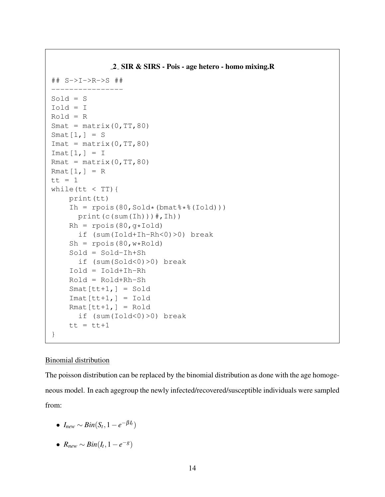```
2 SIR & SIRS - Pois - age hetero - homo mixing.R
## S->I->R->S ##
----------------
Sold = SIold = I
Rold = R
Smat = matrix(0, TT, 80)Smat[1,] = SImat = matrix(0, TT, 80)Imat[1,] = IRmat = matrix(0, TT, 80)Rmat[1,] = Rtt = 1while(tt < TT){
    print(tt)
    Ih = rpois(80, Sold*(bmat<sup>\*</sup>(Iold)))
      print(c(sum(Ih)))*, Ih))
    Rh = \text{rpois}(80, q*Iold)if (sum(Iold+Ih-Rh<0)>0) break
    Sh = \text{rpois}(80, \text{w*Roll})Sold = Sold-Ih+Sh
      if (sum(Sold<0)>0) break
    Iold = Iold+Ih-Rh
    Rold = Rold+Rh-Sh
    Smat[tt+1,] = SoldImat[tt+1,] = IoldRmat[tt+1,] = Rodif (sum(Iold<0)>0) break
    tt = tt+1}
```
#### Binomial distribution

The poisson distribution can be replaced by the binomial distribution as done with the age homogeneous model. In each agegroup the newly infected/recovered/susceptible individuals were sampled from:

- $I_{new} \sim Bin(S_t, 1-e^{-\beta I_t})$
- $\bullet$  *R*<sub>new</sub> ∼ *Bin*(*I*<sub>t</sub>, 1 − *e*<sup>-*g*</sup>)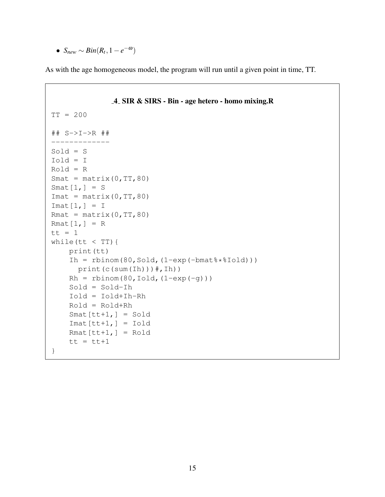• *Snew* ∼ *Bin*(*R<sup>t</sup>* ,1−*e* <sup>−</sup>ω)

As with the age homogeneous model, the program will run until a given point in time, TT.

```
4 SIR & SIRS - Bin - age hetero - homo mixing.R
TT = 200
## S->I->R ##
         -------------
Sold = S
Iold = I
Rold = R
Smat = matrix(0, TT, 80)Smat[1,] = SImat = matrix(0, TT, 80)Imat[1,] = IRmat = matrix(0, TT, 80)Rmat[1,] = Rtt = 1while(tt < TT){
    print(tt)
    Ih = rbinom(80, Sold, (1-exp(-bmatmath*1old)))
      print(c(sum(Ih)))#,Ih))
    Rh = rbinom(80, Iold, (1-exp(-g)))Sold = Sold-Ih
    Iold = Iold+Ih-Rh
    Rold = Rold+Rh
    Smat[tt+1,] = SoldImat[tt+1,] = IoldRmat[tt+1,] = Roldtt = tt+1}
```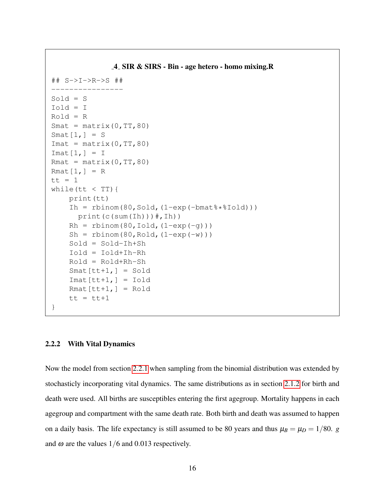```
4 SIR & SIRS - Bin - age hetero - homo mixing.R
## S->I->R->S ##
----------------
Sold = SIold = I
Rold = R
Smat = matrix(0, TT, 80)Smat[1,] = SImat = matrix(0, TT, 80)Imat[1,] = IRmat = matrix(0, TT, 80)Rmat[1,] = Rtt = 1while(tt < TT){
    print(tt)
    Ih = rbinom(80, Sold, (1-exp(-bmat\frac{8}{1+exp(-t)}))print(c(sum(Ih))#, Ih))
    Rh = rbinom(80, Iold, (1-exp(-q)))Sh = rbinom(80, Rold, (1-exp(-w)))
    Sold = Sold-Ih+Sh
    Iold = Iold+Ih-Rh
    Rold = Rold+Rh-Sh
    Smat[tt+1,] = SoldImat[tt+1,] = IoldRmat[tt+1,] = Roldtt = tt+1}
```
#### 2.2.2 With Vital Dynamics

Now the model from section 2.2.1 when sampling from the binomial distribution was extended by stochasticly incorporating vital dynamics. The same distributions as in section 2.1.2 for birth and death were used. All births are susceptibles entering the first agegroup. Mortality happens in each agegroup and compartment with the same death rate. Both birth and death was assumed to happen on a daily basis. The life expectancy is still assumed to be 80 years and thus  $\mu_B = \mu_D = 1/80$ . *g* and  $\omega$  are the values 1/6 and 0.013 respectively.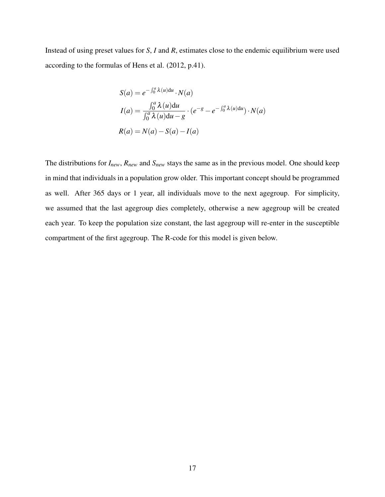Instead of using preset values for *S*, *I* and *R*, estimates close to the endemic equilibrium were used according to the formulas of Hens et al. (2012, p.41).

$$
S(a) = e^{-\int_0^a \lambda(u)du} \cdot N(a)
$$
  
\n
$$
I(a) = \frac{\int_0^a \lambda(u)du}{\int_0^a \lambda(u)du - g} \cdot (e^{-g} - e^{-\int_0^a \lambda(u)du}) \cdot N(a)
$$
  
\n
$$
R(a) = N(a) - S(a) - I(a)
$$

The distributions for *Inew*, *Rnew* and *Snew* stays the same as in the previous model. One should keep in mind that individuals in a population grow older. This important concept should be programmed as well. After 365 days or 1 year, all individuals move to the next agegroup. For simplicity, we assumed that the last agegroup dies completely, otherwise a new agegroup will be created each year. To keep the population size constant, the last agegroup will re-enter in the susceptible compartment of the first agegroup. The R-code for this model is given below.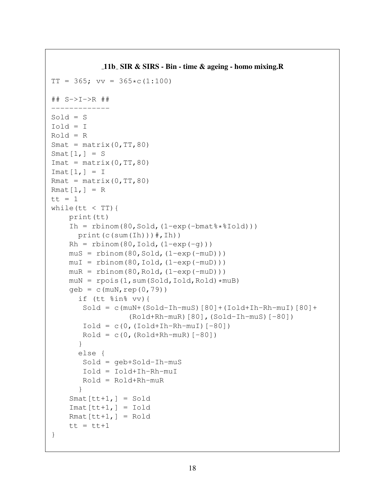```
11b SIR & SIRS - Bin - time & ageing - homo mixing.R
TT = 365; vv = 365 \star c(1:100)## S->I->R ##
-------------
Sold = SIold = IRold = R
Smat = matrix(0, TT, 80)Smat[1,] = SImat = matrix(0, TT, 80)Imat[1,] = IRmat = matrix(0, TT, 80)Rmat[1,] = Rtt = 1while(tt < TT){
    print(tt)
    Ih = rbinom(80, Sold, (1-exp(-bmat\frac{8}{1+exp(-\frac{1}{2} + \frac{1}{2})})print(c(sum(Ih))#, Ih))
    Rh = rbinom(80, Iold, (1-exp(-q)))mus = rbinom(80, Sold, (1-exp(-muD)))muI = rbinom(80, Iold, (1-exp(-muD)))m uR = rbinom(80, Rold, (1-exp(-m uD)))m \text{u} = \text{rpois}(1, \text{sum(Sold, Iold, Rold)} * m \text{u}B)qeb = c(muN, rep(0, 79))if (tt %in% vv){
        Sold = c(muN+(Sold-1h-muS)[80]+(Iold+1h-Rh-muI)[80]+(Rold+Rh-muR)[80],(Sold-Ih-muS)[-80])
       Iold = c(0, (Iold+Ih-Rh-muI)[-80])Rold = c(0, (Rold+Rh-muR) [-80])}
      else {
        Sold = geb+Sold-Ih-muS
        Iold = Iold+Ih-Rh-muI
       Rold = Rold+Rh-muR
       }
    Smat[tt+1,] = SoldImat[tt+1,] = IoldRmat[tt+1,] = Rold
    tt = tt+1}
```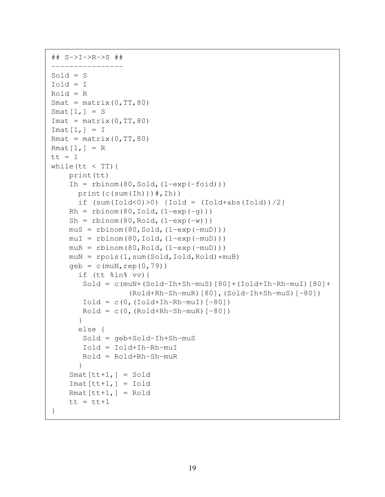```
## S->I->R->S ##
----------------
Sold = SIold = IRold = RSmat = matrix(0, TT, 80)Smat[1,] = SImat = matrix(0, TT, 80)Imat[1,] = IRmat = matrix(0, TT, 80)Rmat[1,] = Rtt = 1while(tt < TT){
    print(tt)
    Ih = rbinom(80, Sold, (1-exp(-foid)))print(c(sum(Ih))\#, Ih))
      if (sum(Iold<0)>0) {Iold = (Iold+abs(Iold))/2}
    Rh = rbinom(80, Iold, (1-exp(-q)))Sh = rbinom(80, Rold, (1-exp(-w)))mus = rbinom(80, Sold, (1-exp(-muD)))muI = rbinom(80, Iold, (1-exp(-muD)))m uR = rbinom(80, Rold, (1-exp(-m uD)))
    muN = rpois(1, sum(Sold, Iold, Roll) *muB)geb = c(muN, rep(0, 79))if (tt %in% vv){
       Sold = c(muN+(Sold-Ih+Sh-muS)[80]+(Iold+Ih-Rh-muI)[80]+
                  (Rold+Rh-Sh-muR)[80],(Sold-Ih+Sh-muS)[-80])
       Iold = c(0, (Iold+Ih-Rh-muI)[-80])Roll = c(0, (Roll+Rh-Sh-muR)[-80])}
      else {
       Sold = geb+Sold-Ih+Sh-muS
       Iold = Iold+Ih-Rh-muI
       Rold = Rold+Rh-Sh-muR
      }
    Smat[tt+1,] = SoldImat[tt+1,] = IoldRmat[tt+1,] = Roldtt = tt+1}
```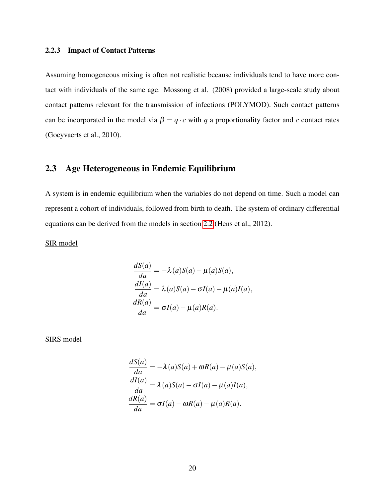#### 2.2.3 Impact of Contact Patterns

Assuming homogeneous mixing is often not realistic because individuals tend to have more contact with individuals of the same age. Mossong et al. (2008) provided a large-scale study about contact patterns relevant for the transmission of infections (POLYMOD). Such contact patterns can be incorporated in the model via  $\beta = q \cdot c$  with *q* a proportionality factor and *c* contact rates (Goeyvaerts et al., 2010).

### 2.3 Age Heterogeneous in Endemic Equilibrium

A system is in endemic equilibrium when the variables do not depend on time. Such a model can represent a cohort of individuals, followed from birth to death. The system of ordinary differential equations can be derived from the models in section 2.2 (Hens et al., 2012).

SIR model

$$
\frac{dS(a)}{da} = -\lambda(a)S(a) - \mu(a)S(a),
$$
  
\n
$$
\frac{dI(a)}{da} = \lambda(a)S(a) - \sigma I(a) - \mu(a)I(a),
$$
  
\n
$$
\frac{dR(a)}{da} = \sigma I(a) - \mu(a)R(a).
$$

SIRS model

$$
\frac{dS(a)}{da} = -\lambda(a)S(a) + \omega R(a) - \mu(a)S(a),
$$
  
\n
$$
\frac{dI(a)}{da} = \lambda(a)S(a) - \sigma I(a) - \mu(a)I(a),
$$
  
\n
$$
\frac{dR(a)}{da} = \sigma I(a) - \omega R(a) - \mu(a)R(a).
$$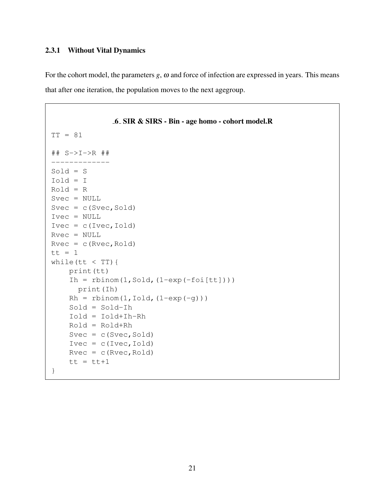#### 2.3.1 Without Vital Dynamics

For the cohort model, the parameters  $g$ ,  $\omega$  and force of infection are expressed in years. This means that after one iteration, the population moves to the next agegroup.

```
6 SIR & SIRS - Bin - age homo - cohort model.R
TT = 81
## S->I->R ##
       -------------
Sold = S
Iold = I
Rold = R
Svec = NULL
Svec = c(Svec, Sold)Ivec = NULL
Ivec = c(Ivec,Iold)Rvec = NULL
Rvec = c(Rvec, Roll)tt = 1while(tt < TT){
    print(tt)
    Ih = rbinom(1, Sold, (1-exp(-foi[tt])))print(Ih)
    Rh = rbinom(1, Iold, (1-exp(-q)))Sold = Sold-Ih
    Iold = Iold+Ih-Rh
    Rold = Rold+Rh
    Svec = c(Svec, Sold)Ivec = c(Ivec,Iold)Rvec = c(Rvec, Rold)tt = tt+1}
```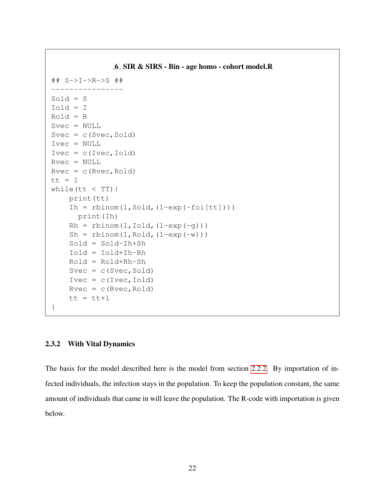```
6 SIR & SIRS - Bin - age homo - cohort model.R
## S->I->R->S ##
----------------
Sold = S
Iold = I
Rold = R
Svec = NULL
Svec = c(Svec, Sold)Ivec = NULL
Ivec = c(Ivec,Iold)Rvec = NULL
Rvec = c(Rvec, Roll)tt = 1while(tt < TT){
    print(tt)
    Ih = rbinom(1, Sold, (1-exp(-foi[tt])))print(Ih)
    Rh = rbinom(1, Iold, (1-exp(-q)))Sh = rbinom(1, Rold, (1-exp(-w)))
    Sold = Sold-Ih+Sh
    Iold = Iold+Ih-Rh
    Rold = Rold+Rh-Sh
    Svec = c(Svec, Sold)Ivec = c(Ivec,Iold)Rvec = c(Rvec, Roll)tt = tt+1}
```
#### 2.3.2 With Vital Dynamics

The basis for the model described here is the model from section 2.2.2. By importation of infected individuals, the infection stays in the population. To keep the populution constant, the same amount of individuals that came in will leave the population. The R-code with importation is given below.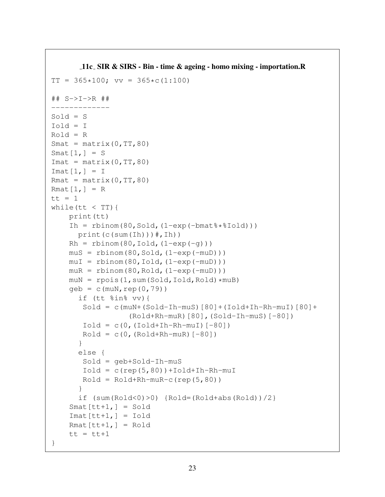```
11c SIR & SIRS - Bin - time & ageing - homo mixing - importation.R
TT = 365*100; vv = 365*c(1:100)## S->I->R ##
-------------
Sold = SIold = I
Rold = R
Smat = matrix(0, TT, 80)Smat[1,] = SImat = matrix(0, TT, 80)\text{Imat}[1,] = IRmat = matrix(0, TT, 80)Rmat[1,] = Rtt = 1while(tt < TT){
    print(tt)
    Ih = rbinom(80, Sold, (1-exp(-bmatmath*1old)))
      print(c(sum(Ih))#, Ih))
    Rh = rbinom(80, Iold, (1-exp(-q)))mus = rbinom(80, Sold, (1-exp(-muD)))muI = rbinom(80, Iold, (1-exp(-muD)))m uR = rbinom(80, Rold, (1-exp(-m uD)))m \text{u} = \text{rpois}(1, \text{sum(Sold, Iold, Rold)} * m \text{u}B)geb = c(muN, rep(0, 79))if (tt %in% vv){
        Sold = c(muN+(Sold-1h-muS)[80]+(Iold+1h-Rh-muI)[80]+(Rold+Rh-muR)[80],(Sold-Ih-muS)[-80])
       Iold = c(0, (Iold+Ih-Rh-muI)[-80])Rold = c(0, (Rold+Rh-muR) [-80])}
      else {
       Sold = geb+Sold-Ih-muS
       Iold = c(rep(5,80)) + Iold + In-Rh-muIRoll = Roll4 + Rh - muR - c (rep(5, 80))}
      if (sum(Rold<0)>0) {Rold=(Rold+abs(Rold))/2}
    Smat[tt+1,] = SoldImat[tt+1,] = IoldRmat[tt+1,] = Roldtt = tt+1}
```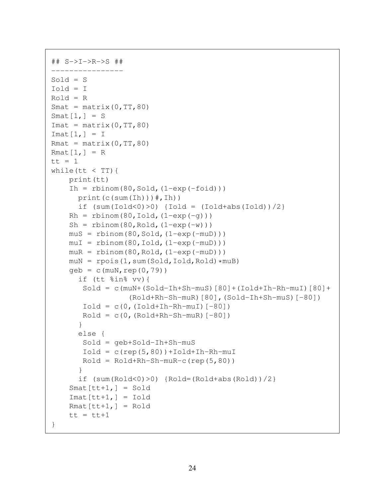```
## S->I->R->S ##
----------------
Sold = SIold = I
Rold = RSmat = matrix(0, TT, 80)Smat[1,] = SImat = matrix(0, TT, 80)Imat[1,] = IRmat = matrix(0, TT, 80)Rmat[1,] = Rtt = 1while(tt \langle TT){
    print(tt)
    Ih = rbinom(80, Sold, (1-exp(-foid)))print(c(sum(Ih))#, Ih))
      if (sum(Iold<0)>0) {Iold = (Iold+abs(Iold))/2}
    Rh = rbinom(80, Iold, (1-exp(-q)))Sh = rbinom(80, Rold, (1-exp(-w)))
    mus = rbinom(80, Sold, (1-exp(-muD)))muI = rbinom(80, Iold, (1-exp(-muD)))m uR = rbinom(80, Rold, (1-exp(-m uD)))
    muN = rpois(1, sum(Sold, Iold, Rold) *muB)geb = c(muN, rep(0, 79))if (tt %in% vv){
       Sold = c(muN+(Sold-Ih+Sh-muS)[80]+(Iold+Ih-Rh-muI)[80]+(Rold+Rh-Sh-muR)[80],(Sold-Ih+Sh-muS)[-80])
       Iold = c(0, (Iold+Ih-Rh-muI)[-80])Roll = c(0, (Roll+Rh-Sh-muR)[-80])}
      else {
       Sold = geb+Sold-Ih+Sh-muS
       Iold = c(rep(5,80)) +Iold+Ih-Rh-muIRoll = Roll4 + Rh - Sh - m uR - c (rep(5, 80))}
      if (sum(Rold<0)>0) {Rold=(Rold+abs(Rold))/2}
    Smat[tt+1,] = SoldImat[tt+1,] = IoldRmat[tt+1,] = Rold
    tt = tt+1}
```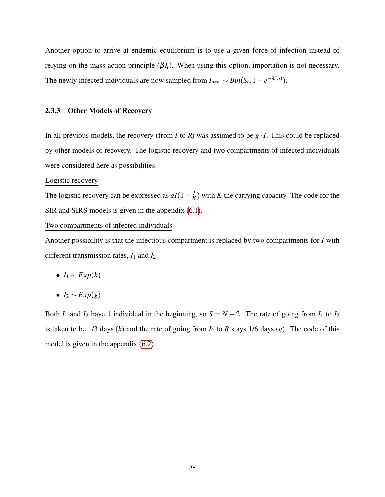Another option to arrive at endemic equilibrium is to use a given force of infection instead of relying on the mass-action principle  $(βI_t)$ . When using this option, importation is not necessary. The newly infected individuals are now sampled from  $I_{new} \sim Bin(S_t, 1 - e^{-\lambda(a)})$ .

#### 2.3.3 Other Models of Recovery

In all previous models, the recovery (from *I* to *R*) was assumed to be  $g \cdot I$ . This could be replaced by other models of recovery. The logistic recovery and two compartments of infected individuals were considered here as possibilities.

#### Logistic recovery

The logistic recovery can be expressed as  $gI(1-\frac{I}{k})$  $\frac{I}{K}$ ) with *K* the carrying capacity. The code for the SIR and SIRS models is given in the appendix (6.1).

#### Two compartments of infected individuals

Another possibility is that the infectious compartment is replaced by two compartments for *I* with different transmission rates, *I*<sup>1</sup> and *I*2.

- $\bullet$  *I*<sub>1</sub> ∼ *Exp*(*h*)
- $I_2 \sim Exp(g)$

Both  $I_1$  and  $I_2$  have 1 individual in the beginning, so  $S = N - 2$ . The rate of going from  $I_1$  to  $I_2$ is taken to be 1/3 days (*h*) and the rate of going from *I*<sup>2</sup> to *R* stays 1/6 days (*g*). The code of this model is given in the appendix (6.2).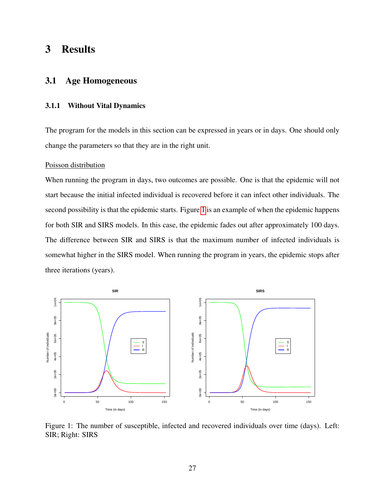## 3 Results

#### 3.1 Age Homogeneous

#### 3.1.1 Without Vital Dynamics

The program for the models in this section can be expressed in years or in days. One should only change the parameters so that they are in the right unit.

#### Poisson distribution

When running the program in days, two outcomes are possible. One is that the epidemic will not start because the initial infected individual is recovered before it can infect other individuals. The second possibility is that the epidemic starts. Figure 1 is an example of when the epidemic happens for both SIR and SIRS models. In this case, the epidemic fades out after approximately 100 days. The difference between SIR and SIRS is that the maximum number of infected individuals is somewhat higher in the SIRS model. When running the program in years, the epidemic stops after three iterations (years).



Figure 1: The number of susceptible, infected and recovered individuals over time (days). Left: SIR; Right: SIRS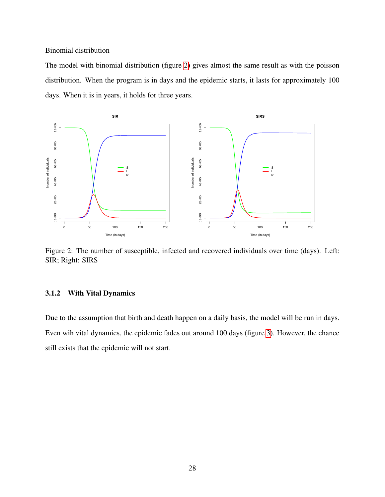#### Binomial distribution

The model with binomial distribution (figure 2) gives almost the same result as with the poisson distribution. When the program is in days and the epidemic starts, it lasts for approximately 100 days. When it is in years, it holds for three years.



Figure 2: The number of susceptible, infected and recovered individuals over time (days). Left: SIR; Right: SIRS

#### 3.1.2 With Vital Dynamics

Due to the assumption that birth and death happen on a daily basis, the model will be run in days. Even wih vital dynamics, the epidemic fades out around 100 days (figure 3). However, the chance still exists that the epidemic will not start.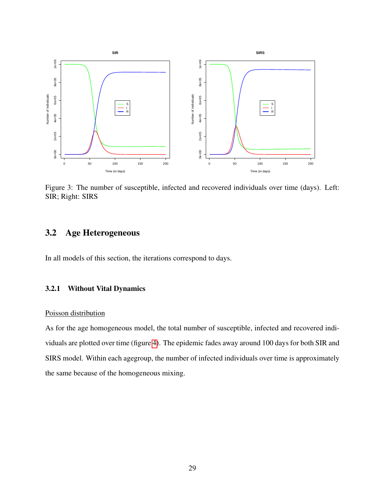

Figure 3: The number of susceptible, infected and recovered individuals over time (days). Left: SIR; Right: SIRS

## 3.2 Age Heterogeneous

In all models of this section, the iterations correspond to days.

#### 3.2.1 Without Vital Dynamics

#### Poisson distribution

As for the age homogeneous model, the total number of susceptible, infected and recovered individuals are plotted over time (figure 4). The epidemic fades away around 100 days for both SIR and SIRS model. Within each agegroup, the number of infected individuals over time is approximately the same because of the homogeneous mixing.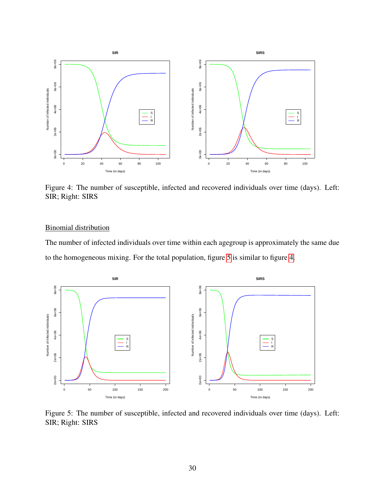

Figure 4: The number of susceptible, infected and recovered individuals over time (days). Left: SIR; Right: SIRS

#### Binomial distribution

The number of infected individuals over time within each agegroup is approximately the same due to the homogeneous mixing. For the total population, figure 5 is similar to figure 4.



Figure 5: The number of susceptible, infected and recovered individuals over time (days). Left: SIR; Right: SIRS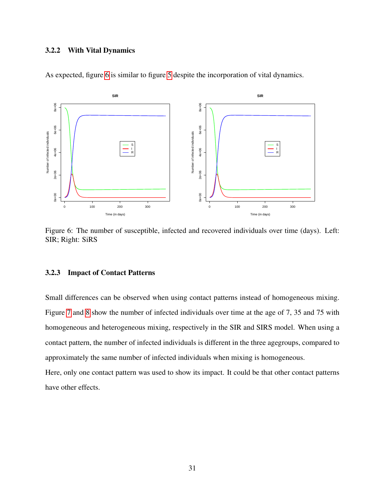#### 3.2.2 With Vital Dynamics



As expected, figure 6 is similar to figure 5 despite the incorporation of vital dynamics.

Figure 6: The number of susceptible, infected and recovered individuals over time (days). Left: SIR; Right: SiRS

#### 3.2.3 Impact of Contact Patterns

Small differences can be observed when using contact patterns instead of homogeneous mixing. Figure 7 and 8 show the number of infected individuals over time at the age of 7, 35 and 75 with homogeneous and heterogeneous mixing, respectively in the SIR and SIRS model. When using a contact pattern, the number of infected individuals is different in the three agegroups, compared to approximately the same number of infected individuals when mixing is homogeneous.

Here, only one contact pattern was used to show its impact. It could be that other contact patterns have other effects.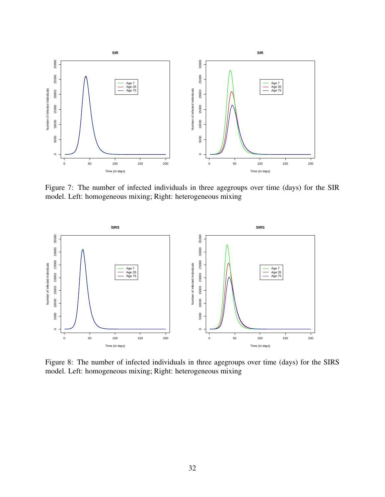

Figure 7: The number of infected individuals in three agegroups over time (days) for the SIR model. Left: homogeneous mixing; Right: heterogeneous mixing



Figure 8: The number of infected individuals in three agegroups over time (days) for the SIRS model. Left: homogeneous mixing; Right: heterogeneous mixing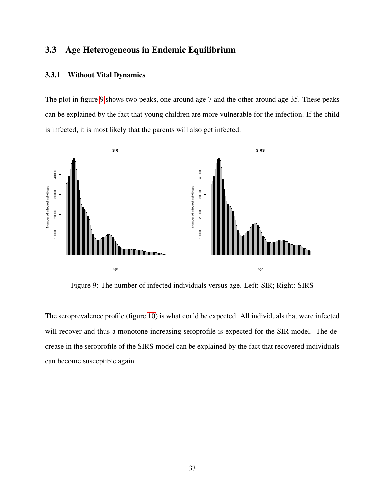## 3.3 Age Heterogeneous in Endemic Equilibrium

#### 3.3.1 Without Vital Dynamics

The plot in figure 9 shows two peaks, one around age 7 and the other around age 35. These peaks can be explained by the fact that young children are more vulnerable for the infection. If the child is infected, it is most likely that the parents will also get infected.



Figure 9: The number of infected individuals versus age. Left: SIR; Right: SIRS

The seroprevalence profile (figure 10) is what could be expected. All individuals that were infected will recover and thus a monotone increasing seroprofile is expected for the SIR model. The decrease in the seroprofile of the SIRS model can be explained by the fact that recovered individuals can become susceptible again.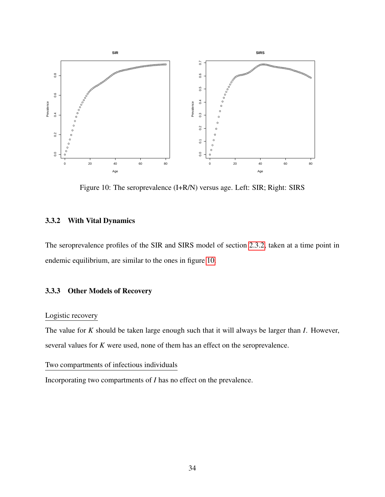

Figure 10: The seroprevalence (I+R/N) versus age. Left: SIR; Right: SIRS

#### 3.3.2 With Vital Dynamics

The seroprevalence profiles of the SIR and SIRS model of section 2.3.2, taken at a time point in endemic equilibrium, are similar to the ones in figure 10.

#### 3.3.3 Other Models of Recovery

#### Logistic recovery

The value for *K* should be taken large enough such that it will always be larger than *I*. However, several values for *K* were used, none of them has an effect on the seroprevalence.

#### Two compartments of infectious individuals

Incorporating two compartments of *I* has no effect on the prevalence.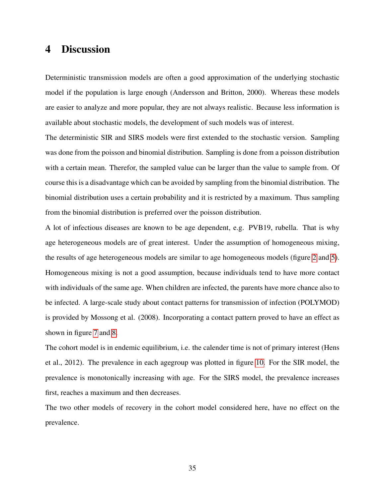## 4 Discussion

Deterministic transmission models are often a good approximation of the underlying stochastic model if the population is large enough (Andersson and Britton, 2000). Whereas these models are easier to analyze and more popular, they are not always realistic. Because less information is available about stochastic models, the development of such models was of interest.

The deterministic SIR and SIRS models were first extended to the stochastic version. Sampling was done from the poisson and binomial distribution. Sampling is done from a poisson distribution with a certain mean. Therefor, the sampled value can be larger than the value to sample from. Of course this is a disadvantage which can be avoided by sampling from the binomial distribution. The binomial distribution uses a certain probability and it is restricted by a maximum. Thus sampling from the binomial distribution is preferred over the poisson distribution.

A lot of infectious diseases are known to be age dependent, e.g. PVB19, rubella. That is why age heterogeneous models are of great interest. Under the assumption of homogeneous mixing, the results of age heterogeneous models are similar to age homogeneous models (figure 2 and 5). Homogeneous mixing is not a good assumption, because individuals tend to have more contact with individuals of the same age. When children are infected, the parents have more chance also to be infected. A large-scale study about contact patterns for transmission of infection (POLYMOD) is provided by Mossong et al. (2008). Incorporating a contact pattern proved to have an effect as shown in figure 7 and 8.

The cohort model is in endemic equilibrium, i.e. the calender time is not of primary interest (Hens et al., 2012). The prevalence in each agegroup was plotted in figure 10. For the SIR model, the prevalence is monotonically increasing with age. For the SIRS model, the prevalence increases first, reaches a maximum and then decreases.

The two other models of recovery in the cohort model considered here, have no effect on the prevalence.

35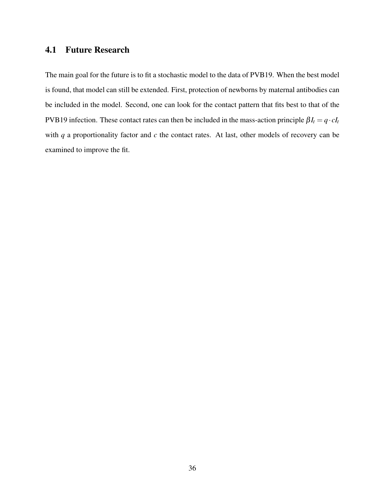## 4.1 Future Research

The main goal for the future is to fit a stochastic model to the data of PVB19. When the best model is found, that model can still be extended. First, protection of newborns by maternal antibodies can be included in the model. Second, one can look for the contact pattern that fits best to that of the PVB19 infection. These contact rates can then be included in the mass-action principle  $\beta I_t = q \cdot cI_t$ with *q* a proportionality factor and *c* the contact rates. At last, other models of recovery can be examined to improve the fit.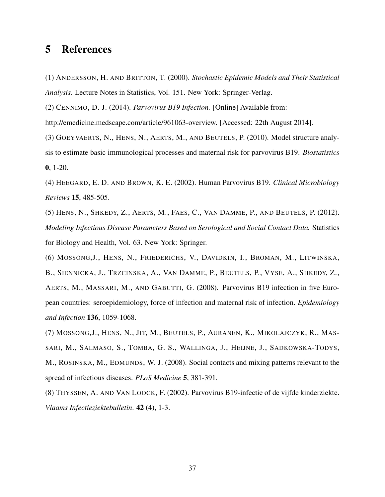## 5 References

(1) ANDERSSON, H. AND BRITTON, T. (2000). *Stochastic Epidemic Models and Their Statistical Analysis.* Lecture Notes in Statistics, Vol. 151. New York: Springer-Verlag.

(2) CENNIMO, D. J. (2014). *Parvovirus B19 Infection.* [Online] Available from:

http://emedicine.medscape.com/article/961063-overview. [Accessed: 22th August 2014].

(3) GOEYVAERTS, N., HENS, N., AERTS, M., AND BEUTELS, P. (2010). Model structure analysis to estimate basic immunological processes and maternal risk for parvovirus B19. *Biostatistics* 0, 1-20.

(4) HEEGARD, E. D. AND BROWN, K. E. (2002). Human Parvovirus B19. *Clinical Microbiology Reviews* 15, 485-505.

(5) HENS, N., SHKEDY, Z., AERTS, M., FAES, C., VAN DAMME, P., AND BEUTELS, P. (2012). *Modeling Infectious Disease Parameters Based on Serological and Social Contact Data.* Statistics for Biology and Health, Vol. 63. New York: Springer.

(6) MOSSONG,J., HENS, N., FRIEDERICHS, V., DAVIDKIN, I., BROMAN, M., LITWINSKA, B., SIENNICKA, J., TRZCINSKA, A., VAN DAMME, P., BEUTELS, P., VYSE, A., SHKEDY, Z., AERTS, M., MASSARI, M., AND GABUTTI, G. (2008). Parvovirus B19 infection in five European countries: seroepidemiology, force of infection and maternal risk of infection. *Epidemiology and Infection* 136, 1059-1068.

(7) MOSSONG,J., HENS, N., JIT, M., BEUTELS, P., AURANEN, K., MIKOLAJCZYK, R., MAS-SARI, M., SALMASO, S., TOMBA, G. S., WALLINGA, J., HEIJNE, J., SADKOWSKA-TODYS, M., ROSINSKA, M., EDMUNDS, W. J. (2008). Social contacts and mixing patterns relevant to the spread of infectious diseases. *PLoS Medicine* 5, 381-391.

(8) THYSSEN, A. AND VAN LOOCK, F. (2002). Parvovirus B19-infectie of de vijfde kinderziekte. *Vlaams Infectieziektebulletin*. 42 (4), 1-3.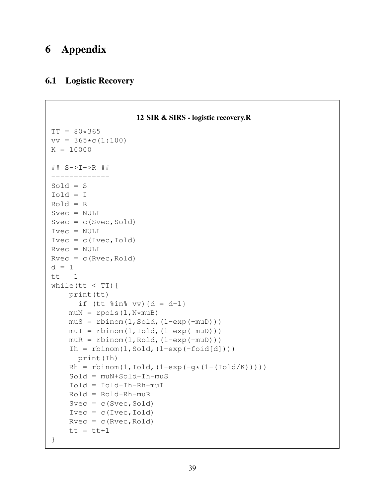## 6 Appendix

### 6.1 Logistic Recovery

```
12 SIR & SIRS - logistic recovery.R
TT = 80*365vv = 365*c(1:100)K = 10000## S->I->R ##
-------------
Sold = SIold = I
Rold = R
Svec = NULL
Svec = c(Svec, Sold)Ivec = NULL
Ivec = c(Ivec,Iold)Rvec = NULL
Rvec = c(Rvec, Roll)d = 1tt = 1while(tt < TT){
   print(tt)
      if (tt \sin \theta vv) {d = d+1}
    muN = rpois(1, N*muB)mus = rbinom(1, Sold, (1-exp(-muD)))muI = rbinom(1,Iold,(1-exp(-muD)))m uR = rbinom(1, Rold, (1-exp(-m uD)))Ih = rbinom(1, Sold, (1-exp(-fold[d])))print(Ih)
    Rh = rbinom(1, Iold, (1-exp(-g*(1-(Iold/K))))Sold = muN+Sold-Ih-muS
    Iold = Iold+Ih-Rh-muI
    Rold = Rold+Rh-muR
    Svec = c(Svec, Sold)Ivec = c(Ivec,Iold)Rvec = c(Rvec, Roll)tt = tt+1}
```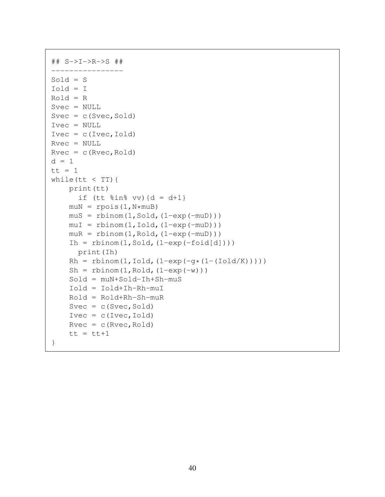```
## S->I->R->S ##
----------------
Sold = S
Iold = I
Rold = RSvec = NULL
Svec = c(Svec, Sold)Ivec = NULL
Ivec = c(Ivec,Iold)Rvec = NULL
Rvec = c(Rvec, Roll)d = 1tt = 1while(tt < TT){
    print(tt)
      if (tt \sin \theta vv) {d = d+1}
    muN = rpois(1, N*muB)mus = rbinom(1, Sold, (1-exp(-muD)))muI = rbinom(1, Iold, (1-exp(-muD)))m uR = rbinom(1, Rold, (1-exp(-m uD)))Ih = rbinom(1, Sold, (1-exp(-foid[d])))print(Ih)
    Rh = rbinom(1, Iold, (1-exp(-q*(1-(Iold/K))))Sh = rbinom(1, Rold, (1-exp(-w)))
    Sold = muN+Sold-Ih+Sh-muS
    Iold = Iold+Ih-Rh-muI
    Rold = Rold+Rh-Sh-muR
    Svec = c(Svec, Sold)Ivec = c(Ivec,Iold)Rvec = c(Rvec, Roll)tt = tt+1}
```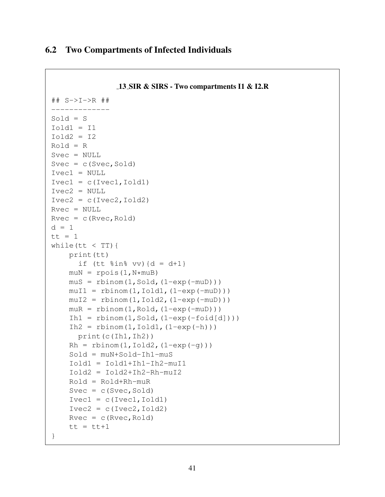## 6.2 Two Compartments of Infected Individuals

```
13 SIR & SIRS - Two compartments I1 & I2.R
## S->I->R ##
-------------
Sold = SIold = I1Iold2 = I2Rold = RSvec = NULL
Svec = c(Svec, Sold)Ivec1 = NULL
Ivec1 = c(Ivec1,Iold1)Ivec2 = NULL
Ivec2 = c(Ivec2,Iold2)Rvec = NULL
Rvec = c(Rvec, Roll)d = 1tt = 1while(tt < TT){
    print(tt)
      if (tt \sin \theta vv) {d = d+1 }
    muN = rpois(1, N*muB)mus = rbinom(1, Sold, (1-exp(-muD)))muI1 = rbinom(1,Iold1,(1-exp(-muD)))muI2 = rbinom(1,Iold2,(1-exp(-muD)))m uR = rbinom(1, Rold, (1-exp(-m uD)))Ih1 = rbinom(1, Sold, (1-exp(-fold[d])))
    Ih2 = rbinom(1,Iold1,(1-exp(-h)))print(c(Ih1,Ih2))
    Rh = rbinom(1, Iold2, (1-exp(-q)))Sold = muN+Sold-Ih1-muS
    Iold1 = Iold1+Ih1-Ih2-muI1
    Iold2 = Iold2+Ih2-Rh-muI2
    Rold = Rold+Rh-muR
    Svec = c(Svec, Sold)Ivec1 = c(Ivec1,Iold1)Ivec2 = c(Ivec2,Iold2)Rvec = c(Rvec, Roll)tt = tt+1}
```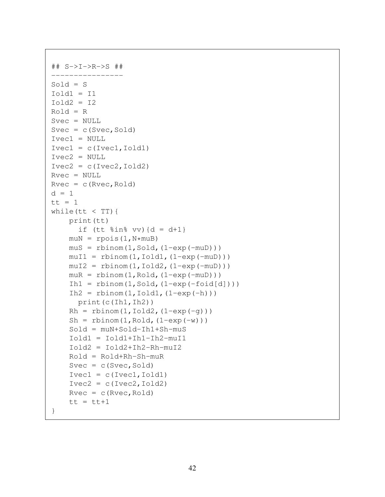```
## S->I->R->S ##
----------------
Sold = SIold = I1Iold2 = I2Rold = RSvec = NULL
Svec = c(Svec, Sold)Ivec1 = NULL
Ivec1 = c(Ivec1,Iold1)Ivec2 = NULL
Ivec2 = c(Ivec2,Iold2)Rvec = NULL
Rvec = c(Rvec, Roll)d = 1tt = 1while(tt < TT){
    print(tt)
      if (tt \sin \theta vv) {d = d+1 }
    muN = rpois(1, N*muB)mus = rbinom(1, Sold, (1-exp(-muD)))muI1 = rbinom(1,Iold1,(1-exp(-muD)))muI2 = rbinom(1,Iold2,(1-exp(-muD)))m uR = rbinom(1, Rold, (1-exp(-m uD)))Ih1 = rbinom(1, Sold, (1-exp(-fold[d])))
    Ih2 = rbinom(1,Iold1,(1-exp(-h)))print(c(Ih1,Ih2))
    Rh = rbinom(1, Iold2, (1-exp(-q)))Sh = rbinom(1, Rold, (1-exp(-w)))
    Sold = muN+Sold-In1+Sh-muSIold1 = Iold1+Ih1-Ih2-muI1
    Iold2 = Iold2+Ih2-Rh-muI2
    Rold = Rold+Rh-Sh-muR
    Svec = c(Svec, Sold)Ivec1 = c(Ivec1,Iold1)Ivec2 = c(Ivec2,Iold2)Rvec = c(Rvec, Roll)tt = tt+1}
```